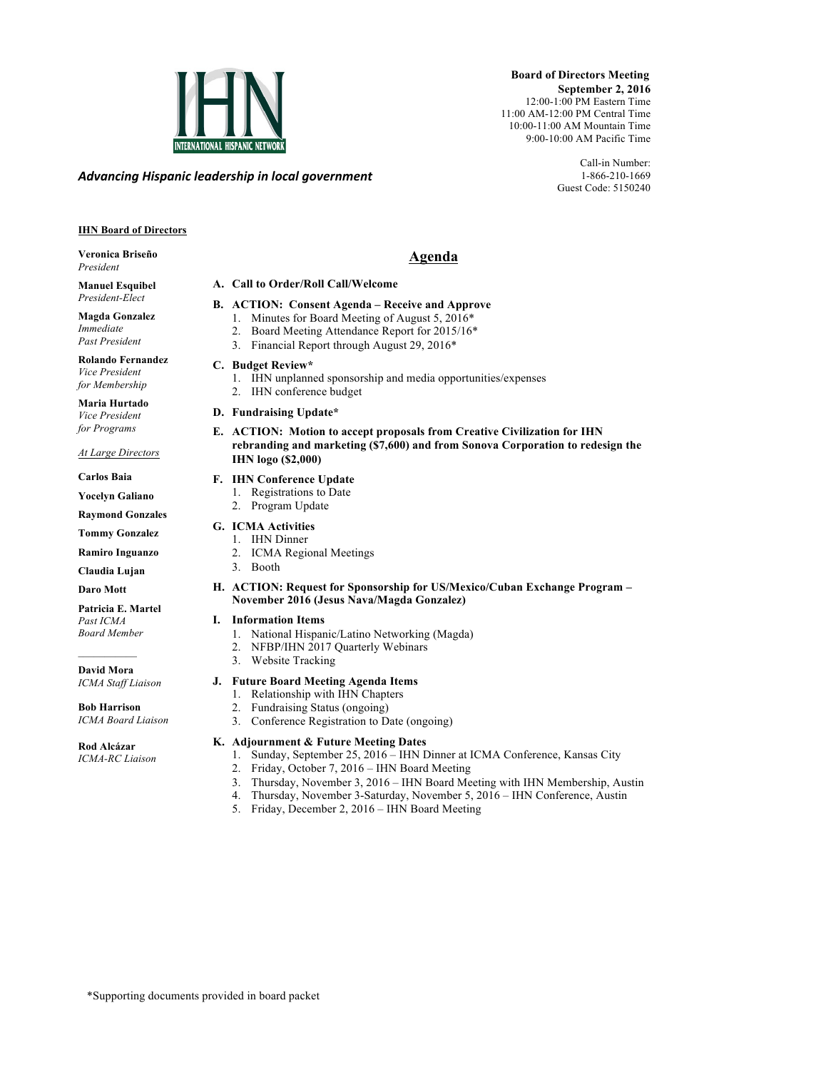

*Advancing)Hispanic)leadership)in)local)government*

 **Board of Directors Meeting September 2, 2016** 12:00-1:00 PM Eastern Time 11:00 AM-12:00 PM Central Time 10:00-11:00 AM Mountain Time 9:00-10:00 AM Pacific Time

> Call-in Number: 1-866-210-1669 Guest Code: 5150240

# **IHN Board of Directors**

# **Veronica Briseño** *President*

**Manuel Esquibel** *President-Elect*

**Magda Gonzalez** *Immediate Past President*

**Rolando Fernandez** *Vice President for Membership*

**Maria Hurtado** *Vice President for Programs*

#### *At Large Directors*

**Carlos Baia**

**Yocelyn Galiano** 

**Raymond Gonzales**

**Tommy Gonzalez**

**Ramiro Inguanzo**

**Claudia Lujan**

**Daro Mott**

**Patricia E. Martel** *Past ICMA Board Member*

**David Mora** *ICMA Staff Liaison*

**Bob Harrison** *ICMA Board Liaison*

**Rod Alcázar** *ICMA-RC Liaison*

# **Agenda**

## **A. Call to Order/Roll Call/Welcome**

### **B. ACTION: Consent Agenda – Receive and Approve**

- 1. Minutes for Board Meeting of August 5, 2016\*
- 2. Board Meeting Attendance Report for 2015/16\*
- 3. Financial Report through August 29, 2016\*

# **C. Budget Review\***

- 1. IHN unplanned sponsorship and media opportunities/expenses
- 2. IHN conference budget
- **D. Fundraising Update\***
- **E. ACTION: Motion to accept proposals from Creative Civilization for IHN rebranding and marketing (\$7,600) and from Sonova Corporation to redesign the IHN logo (\$2,000)**

# **F. IHN Conference Update**

- 1. Registrations to Date
- 2. Program Update

# **G. ICMA Activities**

- 1. IHN Dinner
- 2. ICMA Regional Meetings
- 3. Booth
- **H. ACTION: Request for Sponsorship for US/Mexico/Cuban Exchange Program – November 2016 (Jesus Nava/Magda Gonzalez)**

# **I. Information Items**

- 1. National Hispanic/Latino Networking (Magda)
- 2. NFBP/IHN 2017 Quarterly Webinars
- 3. Website Tracking

# **J. Future Board Meeting Agenda Items**

- 1. Relationship with IHN Chapters
- 2. Fundraising Status (ongoing)
- 3. Conference Registration to Date (ongoing)

# **K. Adjournment & Future Meeting Dates**

- 1. Sunday, September 25, 2016 IHN Dinner at ICMA Conference, Kansas City
- 2. Friday, October 7, 2016 IHN Board Meeting
- 3. Thursday, November 3, 2016 IHN Board Meeting with IHN Membership, Austin
- 4. Thursday, November 3-Saturday, November 5, 2016 IHN Conference, Austin
- 5. Friday, December 2, 2016 IHN Board Meeting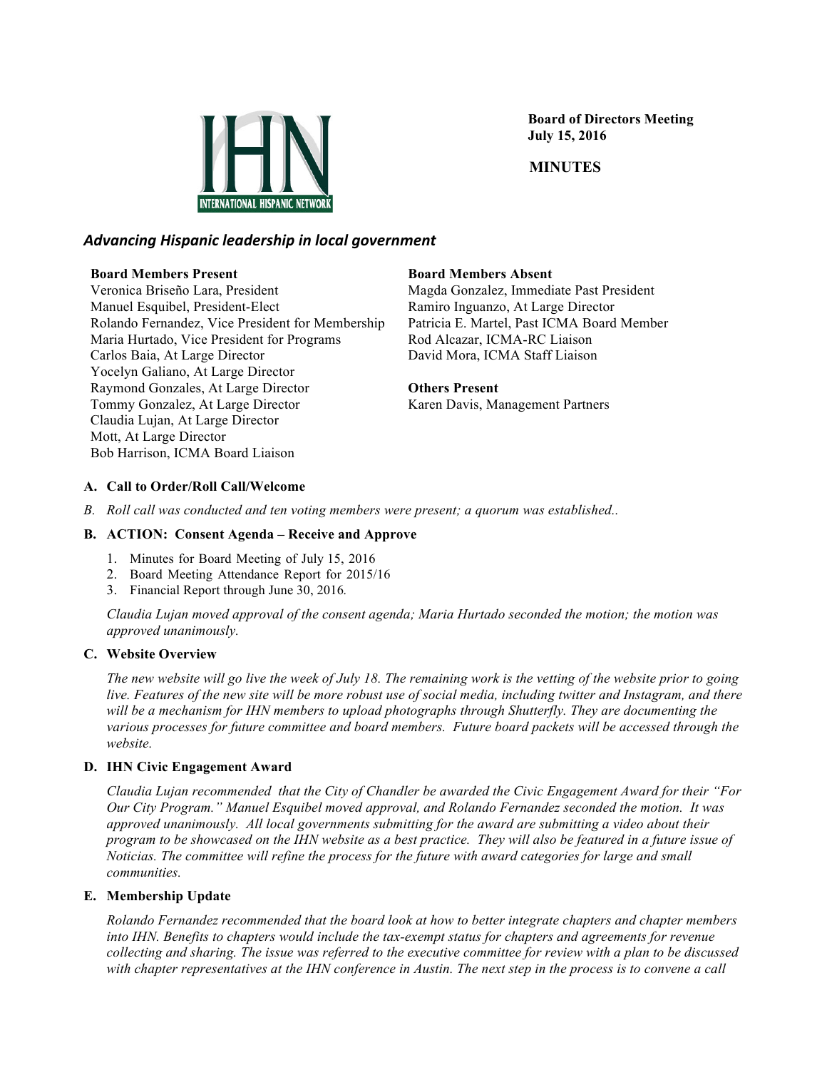

 **Board of Directors Meeting July 15, 2016**

# **MINUTES**

# *Advancing)Hispanic)leadership)in)local)government*

### **Board Members Present**

Veronica Briseño Lara, President Manuel Esquibel, President-Elect Rolando Fernandez, Vice President for Membership Maria Hurtado, Vice President for Programs Carlos Baia, At Large Director Yocelyn Galiano, At Large Director Raymond Gonzales, At Large Director Tommy Gonzalez, At Large Director Claudia Lujan, At Large Director Mott, At Large Director Bob Harrison, ICMA Board Liaison

## **Board Members Absent**

Magda Gonzalez, Immediate Past President Ramiro Inguanzo, At Large Director Patricia E. Martel, Past ICMA Board Member Rod Alcazar, ICMA-RC Liaison David Mora, ICMA Staff Liaison

# **Others Present**

Karen Davis, Management Partners

# **A. Call to Order/Roll Call/Welcome**

*B. Roll call was conducted and ten voting members were present; a quorum was established..*

# **B. ACTION: Consent Agenda – Receive and Approve**

- 1. Minutes for Board Meeting of July 15, 2016
- 2. Board Meeting Attendance Report for 2015/16
- 3. Financial Report through June 30, 2016*.*

*Claudia Lujan moved approval of the consent agenda; Maria Hurtado seconded the motion; the motion was approved unanimously.*

#### **C. Website Overview**

*The new website will go live the week of July 18. The remaining work is the vetting of the website prior to going live. Features of the new site will be more robust use of social media, including twitter and Instagram, and there will be a mechanism for IHN members to upload photographs through Shutterfly. They are documenting the various processes for future committee and board members. Future board packets will be accessed through the website.* 

# **D. IHN Civic Engagement Award**

*Claudia Lujan recommended that the City of Chandler be awarded the Civic Engagement Award for their "For Our City Program." Manuel Esquibel moved approval, and Rolando Fernandez seconded the motion. It was approved unanimously. All local governments submitting for the award are submitting a video about their program to be showcased on the IHN website as a best practice. They will also be featured in a future issue of Noticias. The committee will refine the process for the future with award categories for large and small communities.* 

# **E. Membership Update**

*Rolando Fernandez recommended that the board look at how to better integrate chapters and chapter members into IHN. Benefits to chapters would include the tax-exempt status for chapters and agreements for revenue collecting and sharing. The issue was referred to the executive committee for review with a plan to be discussed with chapter representatives at the IHN conference in Austin. The next step in the process is to convene a call*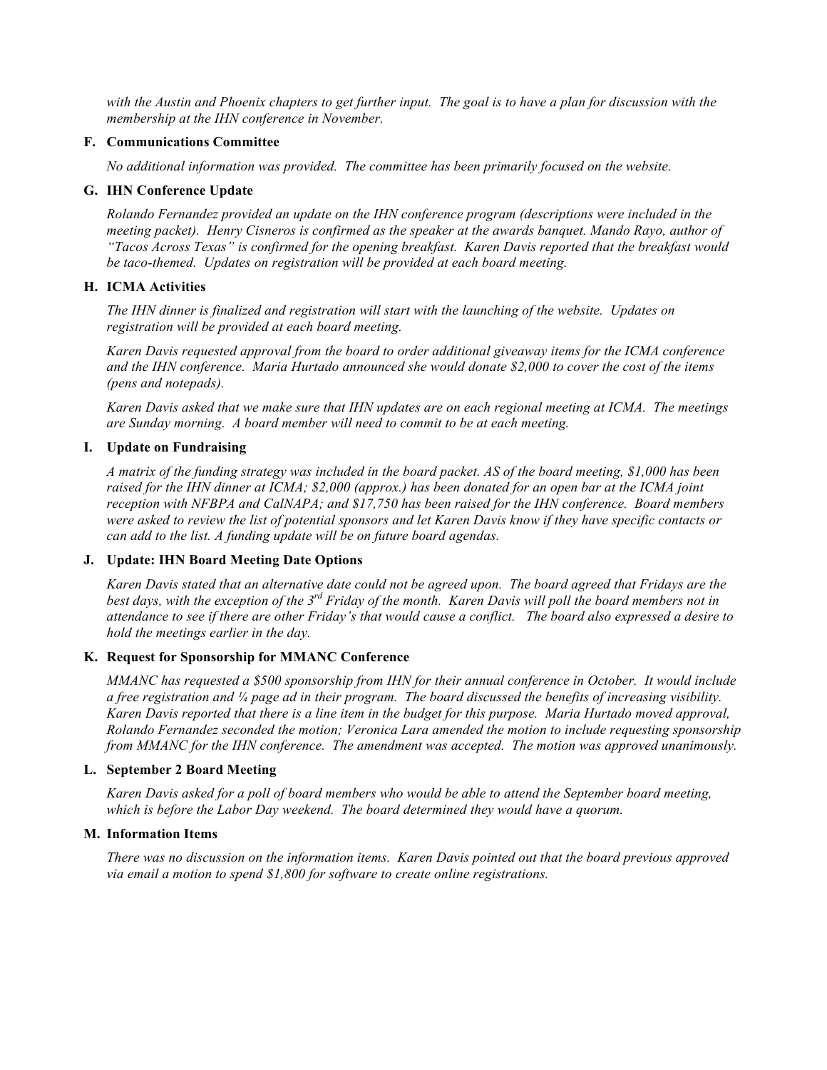*with the Austin and Phoenix chapters to get further input. The goal is to have a plan for discussion with the membership at the IHN conference in November.*

#### **F. Communications Committee**

*No additional information was provided. The committee has been primarily focused on the website.*

#### **G. IHN Conference Update**

*Rolando Fernandez provided an update on the IHN conference program (descriptions were included in the meeting packet). Henry Cisneros is confirmed as the speaker at the awards banquet. Mando Rayo, author of "Tacos Across Texas" is confirmed for the opening breakfast. Karen Davis reported that the breakfast would be taco-themed. Updates on registration will be provided at each board meeting.*

### **H. ICMA Activities**

*The IHN dinner is finalized and registration will start with the launching of the website. Updates on registration will be provided at each board meeting.*

*Karen Davis requested approval from the board to order additional giveaway items for the ICMA conference and the IHN conference. Maria Hurtado announced she would donate \$2,000 to cover the cost of the items (pens and notepads).*

*Karen Davis asked that we make sure that IHN updates are on each regional meeting at ICMA. The meetings are Sunday morning. A board member will need to commit to be at each meeting.* 

#### **I. Update on Fundraising**

*A matrix of the funding strategy was included in the board packet. AS of the board meeting, \$1,000 has been raised for the IHN dinner at ICMA; \$2,000 (approx.) has been donated for an open bar at the ICMA joint reception with NFBPA and CalNAPA; and \$17,750 has been raised for the IHN conference. Board members were asked to review the list of potential sponsors and let Karen Davis know if they have specific contacts or can add to the list. A funding update will be on future board agendas.*

#### **J. Update: IHN Board Meeting Date Options**

*Karen Davis stated that an alternative date could not be agreed upon. The board agreed that Fridays are the best days, with the exception of the 3rd Friday of the month. Karen Davis will poll the board members not in attendance to see if there are other Friday's that would cause a conflict. The board also expressed a desire to hold the meetings earlier in the day.*

#### **K. Request for Sponsorship for MMANC Conference**

*MMANC has requested a \$500 sponsorship from IHN for their annual conference in October. It would include a free registration and ¼ page ad in their program. The board discussed the benefits of increasing visibility. Karen Davis reported that there is a line item in the budget for this purpose. Maria Hurtado moved approval, Rolando Fernandez seconded the motion; Veronica Lara amended the motion to include requesting sponsorship from MMANC for the IHN conference. The amendment was accepted. The motion was approved unanimously.*

#### **L. September 2 Board Meeting**

*Karen Davis asked for a poll of board members who would be able to attend the September board meeting, which is before the Labor Day weekend. The board determined they would have a quorum.*

### **M. Information Items**

*There was no discussion on the information items. Karen Davis pointed out that the board previous approved via email a motion to spend \$1,800 for software to create online registrations.*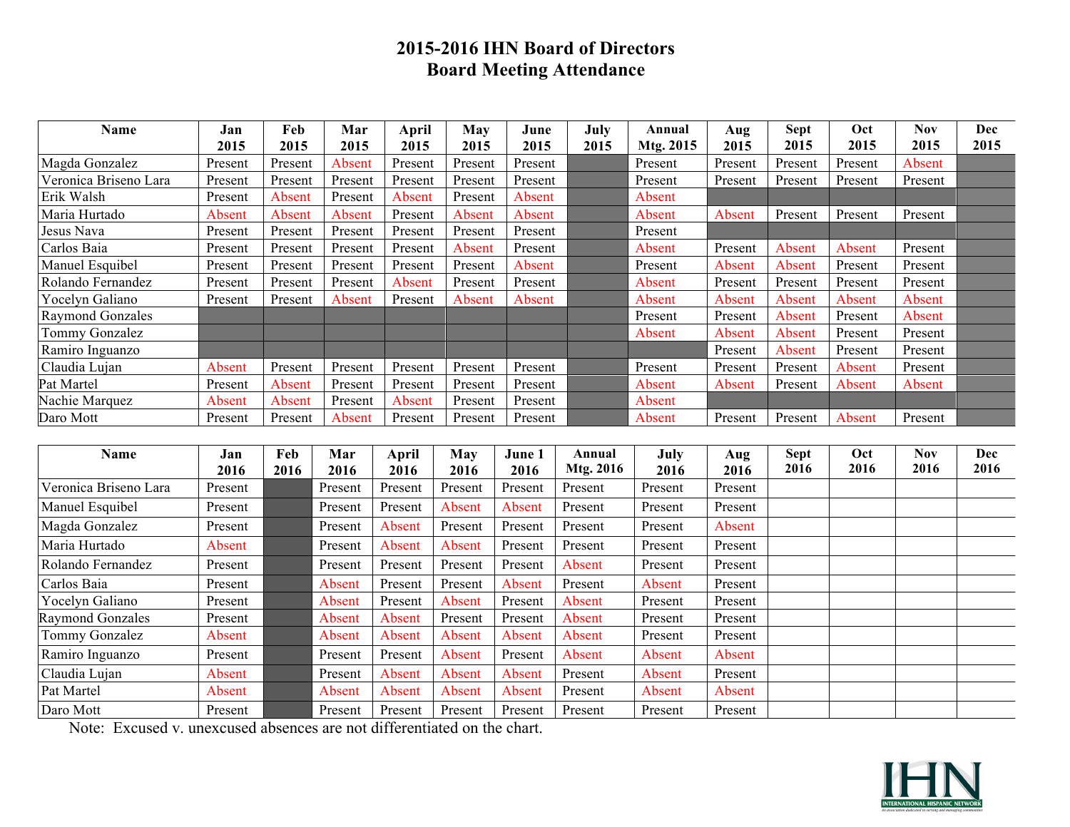# **2015-2016 IHN Board of Directors Board Meeting Attendance**

| Name                    | Jan     | Feb     | Mar     | April   | May     | June    | July | Annual    | Aug     | <b>Sept</b> | Oct     | Nov     | Dec  |
|-------------------------|---------|---------|---------|---------|---------|---------|------|-----------|---------|-------------|---------|---------|------|
|                         | 2015    | 2015    | 2015    | 2015    | 2015    | 2015    | 2015 | Mtg. 2015 | 2015    | 2015        | 2015    | 2015    | 2015 |
| Magda Gonzalez          | Present | Present | Absent  | Present | Present | Present |      | Present   | Present | Present     | Present | Absent  |      |
| Veronica Briseno Lara   | Present | Present | Present | Present | Present | Present |      | Present   | Present | Present     | Present | Present |      |
| Erik Walsh              | Present | Absent  | Present | Absent  | Present | Absent  |      | Absent    |         |             |         |         |      |
| Maria Hurtado           | Absent  | Absent  | Absent  | Present | Absent  | Absent  |      | Absent    | Absent  | Present     | Present | Present |      |
| Jesus Nava              | Present | Present | Present | Present | Present | Present |      | Present   |         |             |         |         |      |
| Carlos Baia             | Present | Present | Present | Present | Absent  | Present |      | Absent    | Present | Absent      | Absent  | Present |      |
| Manuel Esquibel         | Present | Present | Present | Present | Present | Absent  |      | Present   | Absent  | Absent      | Present | Present |      |
| Rolando Fernandez       | Present | Present | Present | Absent  | Present | Present |      | Absent    | Present | Present     | Present | Present |      |
| Yocelyn Galiano         | Present | Present | Absent  | Present | Absent  | Absent  |      | Absent    | Absent  | Absent      | Absent  | Absent  |      |
| <b>Raymond Gonzales</b> |         |         |         |         |         |         |      | Present   | Present | Absent      | Present | Absent  |      |
| Tommy Gonzalez          |         |         |         |         |         |         |      | Absent    | Absent  | Absent      | Present | Present |      |
| Ramiro Inguanzo         |         |         |         |         |         |         |      |           | Present | Absent      | Present | Present |      |
| Claudia Lujan           | Absent  | Present | Present | Present | Present | Present |      | Present   | Present | Present     | Absent  | Present |      |
| Pat Martel              | Present | Absent  | Present | Present | Present | Present |      | Absent    | Absent  | Present     | Absent  | Absent  |      |
| Nachie Marquez          | Absent  | Absent  | Present | Absent  | Present | Present |      | Absent    |         |             |         |         |      |
| Daro Mott               | Present | Present | Absent  | Present | Present | Present |      | Absent    | Present | Present     | Absent  | Present |      |

| Name                    | Jan     | Feb  | Mar     | April   | May     | June 1  | Annual    | July    | Aug     | <b>Sept</b> | Oct  | <b>Nov</b> | Dec  |
|-------------------------|---------|------|---------|---------|---------|---------|-----------|---------|---------|-------------|------|------------|------|
|                         | 2016    | 2016 | 2016    | 2016    | 2016    | 2016    | Mtg. 2016 | 2016    | 2016    | 2016        | 2016 | 2016       | 2016 |
| Veronica Briseno Lara   | Present |      | Present | Present | Present | Present | Present   | Present | Present |             |      |            |      |
| Manuel Esquibel         | Present |      | Present | Present | Absent  | Absent  | Present   | Present | Present |             |      |            |      |
| Magda Gonzalez          | Present |      | Present | Absent  | Present | Present | Present   | Present | Absent  |             |      |            |      |
| Maria Hurtado           | Absent  |      | Present | Absent  | Absent  | Present | Present   | Present | Present |             |      |            |      |
| Rolando Fernandez       | Present |      | Present | Present | Present | Present | Absent    | Present | Present |             |      |            |      |
| Carlos Baia             | Present |      | Absent  | Present | Present | Absent  | Present   | Absent  | Present |             |      |            |      |
| Yocelyn Galiano         | Present |      | Absent  | Present | Absent  | Present | Absent    | Present | Present |             |      |            |      |
| <b>Raymond Gonzales</b> | Present |      | Absent  | Absent  | Present | Present | Absent    | Present | Present |             |      |            |      |
| Tommy Gonzalez          | Absent  |      | Absent  | Absent  | Absent  | Absent  | Absent    | Present | Present |             |      |            |      |
| Ramiro Inguanzo         | Present |      | Present | Present | Absent  | Present | Absent    | Absent  | Absent  |             |      |            |      |
| Claudia Lujan           | Absent  |      | Present | Absent  | Absent  | Absent  | Present   | Absent  | Present |             |      |            |      |
| Pat Martel              | Absent  |      | Absent  | Absent  | Absent  | Absent  | Present   | Absent  | Absent  |             |      |            |      |
| Daro Mott               | Present |      | Present | Present | Present | Present | Present   | Present | Present |             |      |            |      |

Note: Excused v. unexcused absences are not differentiated on the chart.

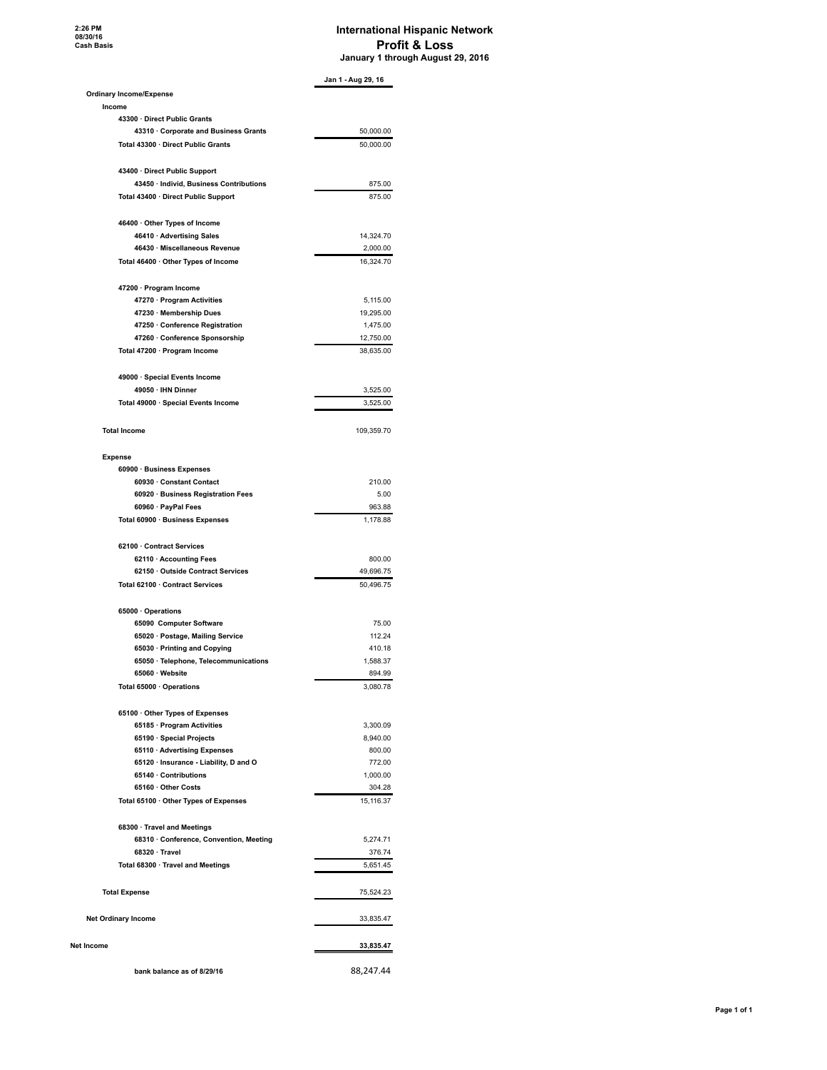#### **International Hispanic Network Profit & Loss January 1 through August 29, 2016**

|                                         | Jan 1 - Aug 29, 16 |
|-----------------------------------------|--------------------|
| <b>Ordinary Income/Expense</b>          |                    |
| Income                                  |                    |
| 43300 · Direct Public Grants            |                    |
| 43310 Corporate and Business Grants     | 50,000.00          |
| Total 43300 · Direct Public Grants      | 50,000.00          |
| 43400 · Direct Public Support           |                    |
| 43450 · Individ, Business Contributions | 875.00             |
| Total 43400 · Direct Public Support     | 875.00             |
| 46400 Other Types of Income             |                    |
| 46410 · Advertising Sales               | 14.324.70          |
| 46430 · Miscellaneous Revenue           | 2,000.00           |
| Total 46400 · Other Types of Income     | 16,324.70          |
| 47200 · Program Income                  |                    |
| 47270 · Program Activities              | 5,115.00           |
| 47230 · Membership Dues                 | 19,295.00          |
| 47250 Conference Registration           | 1,475.00           |
| 47260 · Conference Sponsorship          | 12,750.00          |
| Total 47200 · Program Income            | 38,635.00          |
| 49000 · Special Events Income           |                    |
| 49050 · IHN Dinner                      | 3,525.00           |
| Total 49000 · Special Events Income     | 3,525.00           |
| <b>Total Income</b>                     | 109,359.70         |
| <b>Expense</b>                          |                    |
| 60900 · Business Expenses               |                    |
| 60930 Constant Contact                  | 210.00             |
| 60920 · Business Registration Fees      | 5.00               |
| 60960 · PayPal Fees                     | 963.88             |
| Total 60900 · Business Expenses         | 1,178.88           |
| 62100 Contract Services                 |                    |
| 62110 · Accounting Fees                 | 800.00             |
| 62150 Outside Contract Services         | 49,696.75          |
| Total 62100 Contract Services           | 50,496.75          |
| 65000 · Operations                      |                    |
| 65090 Computer Software                 | 75.00              |
| 65020 · Postage, Mailing Service        | 112.24             |
| 65030 · Printing and Copying            | 410.18             |
| 65050 · Telephone, Telecommunications   | 1,588.37           |
| 65060 · Website                         | 894.99             |
| Total 65000 · Operations                | 3,080.78           |
| 65100 Other Types of Expenses           |                    |
| 65185 · Program Activities              | 3,300.09           |
| 65190 · Special Projects                | 8,940.00           |
| 65110 · Advertising Expenses            | 800.00             |
| 65120 · Insurance - Liability, D and O  | 772.00             |
| 65140 Contributions                     | 1,000.00           |
| 65160 · Other Costs                     | 304.28             |
| Total 65100 · Other Types of Expenses   | 15,116.37          |
| 68300 · Travel and Meetings             |                    |
| 68310 · Conference, Convention, Meeting | 5,274.71           |
| 68320 Travel                            | 376.74             |
| Total 68300 · Travel and Meetings       | 5,651.45           |
| <b>Total Expense</b>                    | 75,524.23          |
| <b>Net Ordinary Income</b>              | 33,835.47          |
| Net Income                              | 33,835.47          |
|                                         |                    |
| bank balance as of 8/29/16              | 88,247.44          |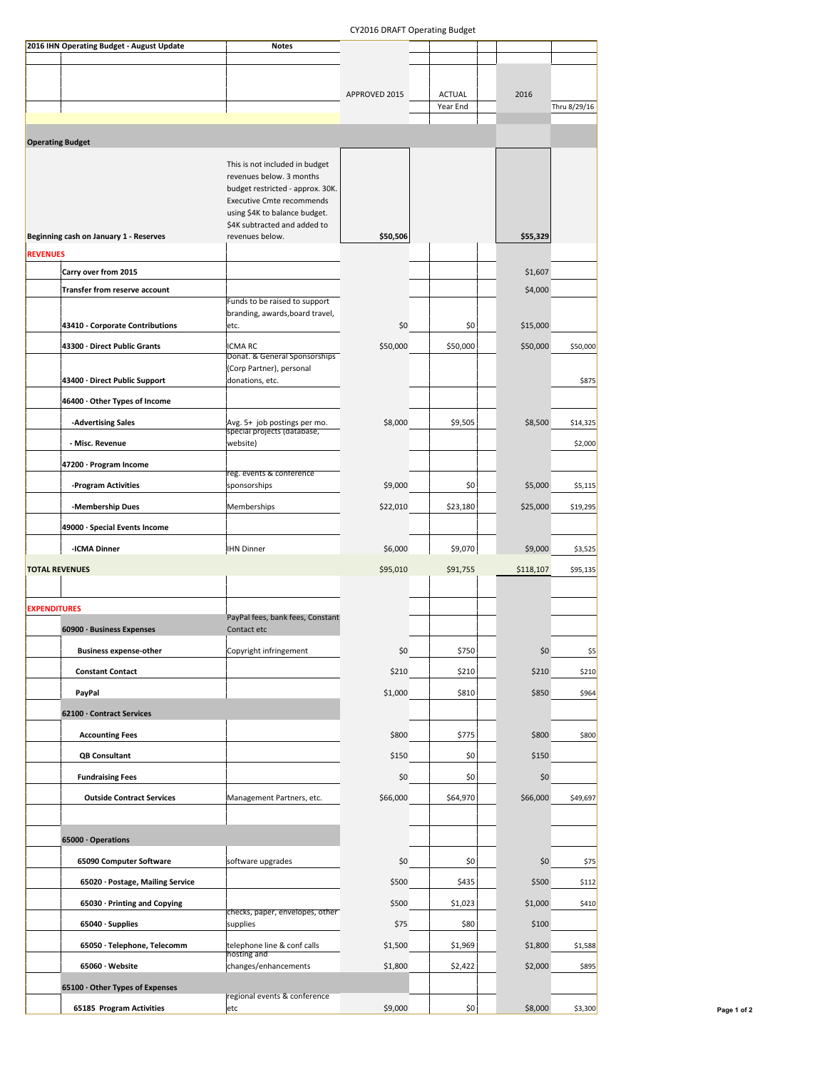#### CY2016 DRAFT Operating Budget

| 2016 IHN Operating Budget - August Update | <b>Notes</b>                                                     |               |                           |           |              |
|-------------------------------------------|------------------------------------------------------------------|---------------|---------------------------|-----------|--------------|
|                                           |                                                                  |               |                           |           |              |
|                                           |                                                                  |               |                           |           |              |
|                                           |                                                                  | APPROVED 2015 | <b>ACTUAL</b><br>Year End | 2016      | Thru 8/29/16 |
|                                           |                                                                  |               |                           |           |              |
| <b>Operating Budget</b>                   |                                                                  |               |                           |           |              |
|                                           | This is not included in budget                                   |               |                           |           |              |
|                                           | revenues below. 3 months<br>budget restricted - approx. 30K.     |               |                           |           |              |
|                                           | <b>Executive Cmte recommends</b>                                 |               |                           |           |              |
|                                           | using \$4K to balance budget.<br>\$4K subtracted and added to    |               |                           |           |              |
| Beginning cash on January 1 - Reserves    | revenues below.                                                  | \$50,506      |                           | \$55,329  |              |
| <b>REVENUES</b>                           |                                                                  |               |                           |           |              |
| Carry over from 2015                      |                                                                  |               |                           | \$1,607   |              |
| Transfer from reserve account             |                                                                  |               |                           | \$4,000   |              |
|                                           | Funds to be raised to support<br>branding, awards, board travel, |               |                           |           |              |
| 43410 - Corporate Contributions           | etc.                                                             | \$0           | \$0                       | \$15,000  |              |
| 43300 · Direct Public Grants              | <b>ICMARC</b>                                                    | \$50,000      | \$50,000                  | \$50,000  | \$50,000     |
|                                           | Donat. & General Sponsorships<br>(Corp Partner), personal        |               |                           |           |              |
| 43400 · Direct Public Support             | donations, etc.                                                  |               |                           |           | \$875        |
| 46400 · Other Types of Income             |                                                                  |               |                           |           |              |
| -Advertising Sales                        | Avg. 5+ job postings per mo.                                     | \$8,000       | \$9,505                   | \$8,500   | \$14,325     |
| - Misc. Revenue                           | special projects (database,<br>website)                          |               |                           |           | \$2,000      |
| 47200 · Program Income                    |                                                                  |               |                           |           |              |
|                                           | reg. events & conference                                         |               |                           |           |              |
| -Program Activities                       | sponsorships                                                     | \$9,000       | \$0                       | \$5,000   | \$5,115      |
| -Membership Dues                          | Memberships                                                      | \$22,010      | \$23,180                  | \$25,000  | \$19,295     |
| 49000 · Special Events Income             |                                                                  |               |                           |           |              |
| -ICMA Dinner                              | <b>IHN Dinner</b>                                                | \$6,000       | \$9,070                   | \$9,000   | \$3,525      |
| <b>TOTAL REVENUES</b>                     |                                                                  | \$95,010      | \$91,755                  | \$118,107 | \$95,135     |
|                                           |                                                                  |               |                           |           |              |
| <b>EXPENDITURES</b>                       | PayPal fees, bank fees, Constant                                 |               |                           |           |              |
| 60900 · Business Expenses                 | Contact etc                                                      |               |                           |           |              |
| <b>Business expense-other</b>             | Copyright infringement                                           | \$0           | \$750                     | \$0       | \$5          |
| <b>Constant Contact</b>                   |                                                                  | \$210         | \$210                     | \$210     | \$210        |
| PayPal                                    |                                                                  | \$1,000       | \$810                     | \$850     | \$964        |
| 62100 · Contract Services                 |                                                                  |               |                           |           |              |
| <b>Accounting Fees</b>                    |                                                                  | \$800         | \$775                     | \$800     | \$800        |
| <b>QB Consultant</b>                      |                                                                  | \$150         | \$0                       | \$150     |              |
| <b>Fundraising Fees</b>                   |                                                                  | \$0           | \$0                       | \$0       |              |
|                                           |                                                                  |               |                           |           |              |
| <b>Outside Contract Services</b>          | Management Partners, etc.                                        | \$66,000      | \$64,970                  | \$66,000  | \$49,697     |
|                                           |                                                                  |               |                           |           |              |
| 65000 · Operations                        |                                                                  |               |                           |           |              |
| 65090 Computer Software                   | software upgrades                                                | \$0           | \$0                       | \$0       | \$75         |
| 65020 · Postage, Mailing Service          |                                                                  | \$500         | \$435                     | \$500     | \$112        |
| 65030 · Printing and Copying              | checks, paper, envelopes, other                                  | \$500         | \$1,023                   | \$1,000   | \$410        |
| 65040 · Supplies                          | supplies                                                         | \$75          | \$80                      | \$100     |              |
| 65050 · Telephone, Telecomm               | telephone line & conf calls                                      | \$1,500       | \$1,969                   | \$1,800   | \$1,588      |
| 65060 · Website                           | hosting and<br>changes/enhancements                              | \$1,800       | \$2,422                   | \$2,000   | \$895        |
| 65100 · Other Types of Expenses           |                                                                  |               |                           |           |              |
|                                           | regional events & conference<br>etc                              | \$9,000       | \$0                       | \$8,000   |              |
| 65185 Program Activities                  |                                                                  |               |                           |           | \$3,300      |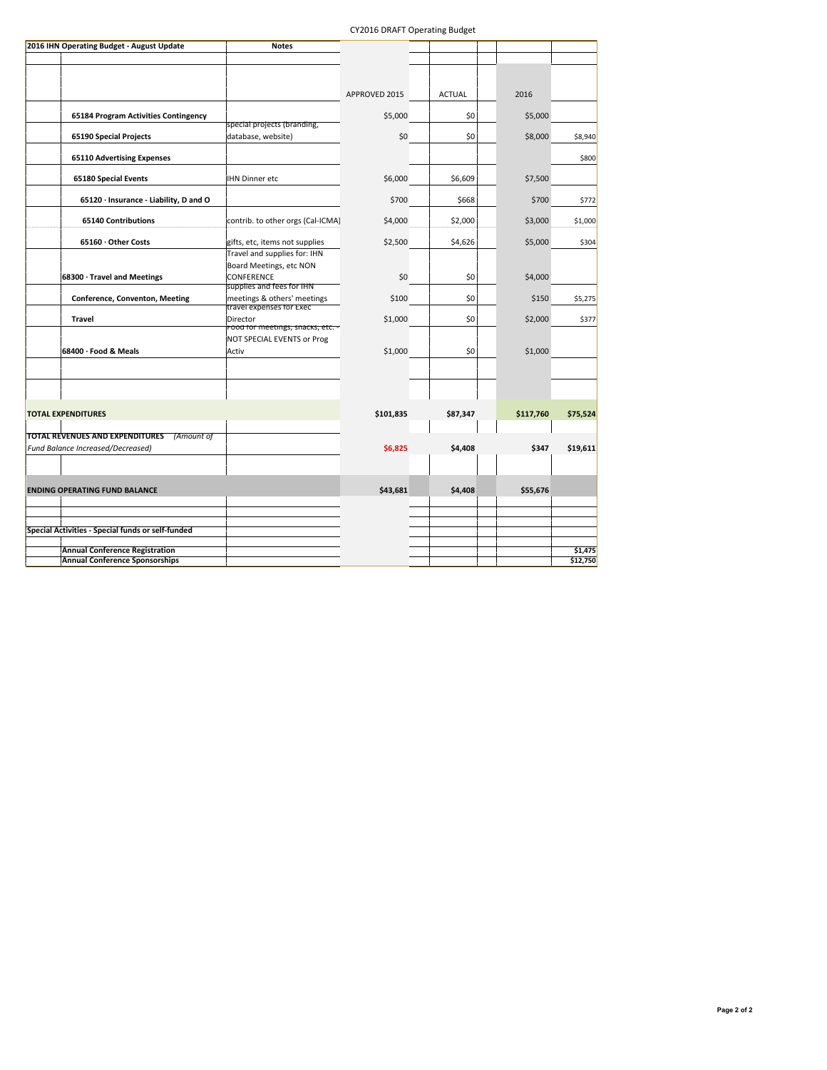#### CY2016 DRAFT Operating Budget

| 2016 IHN Operating Budget - August Update                | <b>Notes</b>                                            |               |               |           |          |
|----------------------------------------------------------|---------------------------------------------------------|---------------|---------------|-----------|----------|
|                                                          |                                                         |               |               |           |          |
|                                                          |                                                         |               |               |           |          |
|                                                          |                                                         |               |               |           |          |
|                                                          |                                                         | APPROVED 2015 | <b>ACTUAL</b> | 2016      |          |
| 65184 Program Activities Contingency                     |                                                         | \$5,000       | \$0           | \$5,000   |          |
|                                                          | special projects (branding,                             |               |               |           |          |
| 65190 Special Projects                                   | database, website)                                      | \$0           | \$0           | \$8,000   | \$8,940  |
| <b>65110 Advertising Expenses</b>                        |                                                         |               |               |           | \$800    |
| 65180 Special Events                                     | <b>IHN Dinner etc</b>                                   | \$6,000       | \$6,609       | \$7,500   |          |
| 65120 · Insurance - Liability, D and O                   |                                                         | \$700         | \$668         | \$700     | \$772    |
| <b>65140 Contributions</b>                               | contrib. to other orgs (Cal-ICMA)                       | \$4,000       | \$2,000       | \$3,000   | \$1,000  |
| 65160 · Other Costs                                      | gifts, etc, items not supplies                          | \$2,500       | \$4,626       | \$5,000   | \$304    |
|                                                          | Travel and supplies for: IHN                            |               |               |           |          |
|                                                          | Board Meetings, etc NON                                 |               |               |           |          |
| 68300 · Travel and Meetings                              | CONFERENCE                                              | \$0           | \$0           | \$4,000   |          |
|                                                          | supplies and fees for IHN                               |               |               |           |          |
| Conference, Conventon, Meeting                           | meetings & others' meetings<br>travel expenses for Exec | \$100         | \$0           | \$150     | \$5,275  |
| <b>Travel</b>                                            | Director<br>Food for meetings, snacks, etc. -           | \$1,000       | \$0           | \$2,000   | \$377    |
|                                                          | NOT SPECIAL EVENTS or Prog                              |               |               |           |          |
| 68400 · Food & Meals                                     | Activ                                                   | \$1,000       | \$0           | \$1,000   |          |
|                                                          |                                                         |               |               |           |          |
|                                                          |                                                         |               |               |           |          |
|                                                          |                                                         |               |               |           |          |
|                                                          |                                                         |               |               |           |          |
| <b>TOTAL EXPENDITURES</b>                                |                                                         | \$101,835     | \$87,347      | \$117,760 | \$75,524 |
| TOTAL REVENUES AND EXPENDITURES<br>(Amount of            |                                                         |               |               |           |          |
| <b>Fund Balance Increased/Decreased)</b>                 |                                                         | \$6,825       | \$4,408       | \$347     | \$19,611 |
|                                                          |                                                         |               |               |           |          |
|                                                          |                                                         |               |               |           |          |
|                                                          |                                                         | \$43,681      | \$4,408       |           |          |
| <b>ENDING OPERATING FUND BALANCE</b>                     |                                                         |               |               | \$55,676  |          |
|                                                          |                                                         |               |               |           |          |
| <b>Special Activities - Special funds or self-funded</b> |                                                         |               |               |           |          |
|                                                          |                                                         |               |               |           |          |
| <b>Annual Conference Registration</b>                    |                                                         |               |               |           | \$1,475  |
| <b>Annual Conference Sponsorships</b>                    |                                                         |               |               |           | \$12,750 |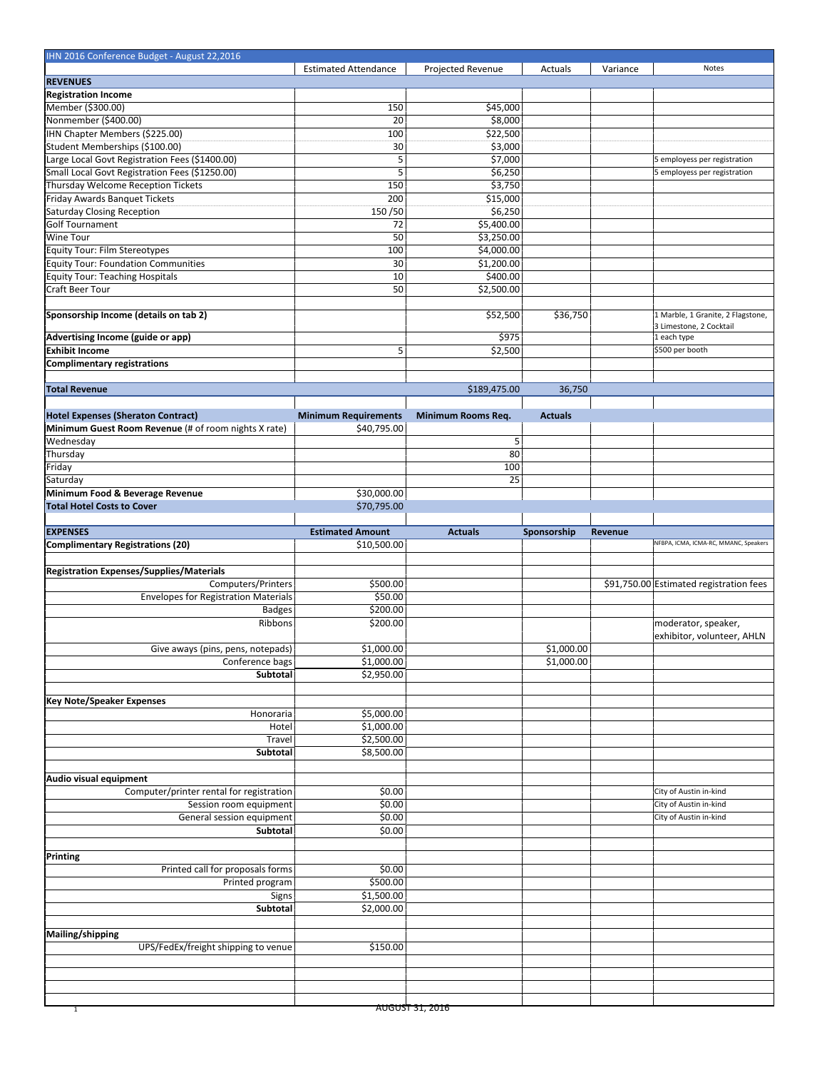| IHN 2016 Conference Budget - August 22,2016          |                             |                            |                |          |                                         |
|------------------------------------------------------|-----------------------------|----------------------------|----------------|----------|-----------------------------------------|
|                                                      | <b>Estimated Attendance</b> | Projected Revenue          | Actuals        | Variance | Notes                                   |
| <b>REVENUES</b>                                      |                             |                            |                |          |                                         |
| <b>Registration Income</b>                           |                             |                            |                |          |                                         |
| Member (\$300.00)                                    | 150                         | \$45,000                   |                |          |                                         |
| Nonmember (\$400.00)                                 | 20                          | \$8,000                    |                |          |                                         |
| IHN Chapter Members (\$225.00)                       | 100                         | \$22,500                   |                |          |                                         |
| Student Memberships (\$100.00)                       | 30                          | \$3,000                    |                |          |                                         |
| Large Local Govt Registration Fees (\$1400.00)       | 5                           | \$7,000                    |                |          | 5 employess per registration            |
| Small Local Govt Registration Fees (\$1250.00)       | 5                           | \$6,250                    |                |          | 5 employess per registration            |
| Thursday Welcome Reception Tickets                   | 150                         | \$3,750                    |                |          |                                         |
| Friday Awards Banquet Tickets                        | 200                         | \$15,000                   |                |          |                                         |
| Saturday Closing Reception                           | 150/50                      | \$6,250                    |                |          |                                         |
| Golf Tournament                                      |                             | 55,400.00                  |                |          |                                         |
|                                                      | 72                          |                            |                |          |                                         |
| Wine Tour                                            | 50                          | \$3,250.00                 |                |          |                                         |
| <b>Equity Tour: Film Stereotypes</b>                 | 100                         | \$4,000.00                 |                |          |                                         |
| Equity Tour: Foundation Communities                  | 30                          | \$1,200.00                 |                |          |                                         |
| Equity Tour: Teaching Hospitals                      | 10                          | \$400.00                   |                |          |                                         |
| Craft Beer Tour                                      | 50                          | \$2,500.00                 |                |          |                                         |
|                                                      |                             |                            |                |          |                                         |
| Sponsorship Income (details on tab 2)                |                             | \$52,500                   | \$36,750       |          | 1 Marble, 1 Granite, 2 Flagstone,       |
|                                                      |                             |                            |                |          | 3 Limestone, 2 Cocktail                 |
| Advertising Income (guide or app)                    |                             | \$975                      |                |          | 1 each type                             |
| <b>Exhibit Income</b>                                | 5                           | \$2,500                    |                |          | \$500 per booth                         |
| Complimentary registrations                          |                             |                            |                |          |                                         |
|                                                      |                             |                            |                |          |                                         |
| <b>Total Revenue</b>                                 |                             | \$189,475.00               | 36,750         |          |                                         |
|                                                      |                             |                            |                |          |                                         |
| Hotel Expenses (Sheraton Contract)                   | <b>Minimum Requirements</b> | Minimum Rooms Req.         | <b>Actuals</b> |          |                                         |
| Minimum Guest Room Revenue (# of room nights X rate) | \$40,795.00                 |                            |                |          |                                         |
| Wednesday                                            |                             | 5                          |                |          |                                         |
|                                                      |                             | 80                         |                |          |                                         |
| Thursday                                             |                             |                            |                |          |                                         |
| Friday                                               |                             | 100                        |                |          |                                         |
| Saturday                                             |                             | 25                         |                |          |                                         |
| Minimum Food & Beverage Revenue                      | \$30,000.00                 |                            |                |          |                                         |
| <b>Total Hotel Costs to Cover</b>                    | \$70,795.00                 |                            |                |          |                                         |
|                                                      |                             |                            |                |          |                                         |
| <b>EXPENSES</b>                                      | <b>Estimated Amount</b>     | <b>Actuals</b>             | Sponsorship    | Revenue  |                                         |
| Complimentary Registrations (20)                     | \$10,500.00                 |                            |                |          | NFBPA, ICMA, ICMA-RC, MMANC, Speakers   |
|                                                      |                             |                            |                |          |                                         |
|                                                      |                             |                            |                |          |                                         |
|                                                      |                             |                            |                |          |                                         |
| Registration Expenses/Supplies/Materials             |                             |                            |                |          |                                         |
| Computers/Printers                                   | \$500.00                    |                            |                |          | \$91,750.00 Estimated registration fees |
| <b>Envelopes for Registration Materials</b>          | \$50.00                     |                            |                |          |                                         |
| <b>Badges</b>                                        | \$200.00                    |                            |                |          |                                         |
| Ribbons                                              | \$200.00                    |                            |                |          | moderator, speaker,                     |
|                                                      |                             |                            |                |          | exhibitor, volunteer, AHLN              |
| Give aways (pins, pens, notepads)                    | \$1,000.00                  |                            | \$1,000.00     |          |                                         |
| Conference bags                                      | \$1,000.00                  |                            | \$1,000.00     |          |                                         |
| Subtotal                                             | \$2,950.00                  |                            |                |          |                                         |
|                                                      |                             |                            |                |          |                                         |
|                                                      |                             |                            |                |          |                                         |
| Key Note/Speaker Expenses                            |                             |                            |                |          |                                         |
| Honoraria                                            | \$5,000.00                  |                            |                |          |                                         |
| Hotel                                                | \$1,000.00                  |                            |                |          |                                         |
| Travel                                               | \$2,500.00                  |                            |                |          |                                         |
| Subtotal                                             | \$8,500.00                  |                            |                |          |                                         |
|                                                      |                             |                            |                |          |                                         |
| Audio visual equipment                               |                             |                            |                |          |                                         |
| Computer/printer rental for registration             | \$0.00                      |                            |                |          | City of Austin in-kind                  |
| Session room equipment                               | \$0.00                      |                            |                |          | City of Austin in-kind                  |
| General session equipment                            | \$0.00                      |                            |                |          | City of Austin in-kind                  |
| Subtotal                                             | \$0.00                      |                            |                |          |                                         |
|                                                      |                             |                            |                |          |                                         |
| Printing                                             |                             |                            |                |          |                                         |
|                                                      |                             |                            |                |          |                                         |
| Printed call for proposals forms                     | \$0.00                      |                            |                |          |                                         |
| Printed program                                      | \$500.00                    |                            |                |          |                                         |
| Signs                                                | \$1,500.00                  |                            |                |          |                                         |
| Subtotal                                             | \$2,000.00                  |                            |                |          |                                         |
|                                                      |                             |                            |                |          |                                         |
| Mailing/shipping                                     |                             |                            |                |          |                                         |
| UPS/FedEx/freight shipping to venue                  | \$150.00                    |                            |                |          |                                         |
|                                                      |                             |                            |                |          |                                         |
|                                                      |                             |                            |                |          |                                         |
|                                                      |                             |                            |                |          |                                         |
| $\overline{1}$                                       |                             | <del>AUGUST 31, 2016</del> |                |          |                                         |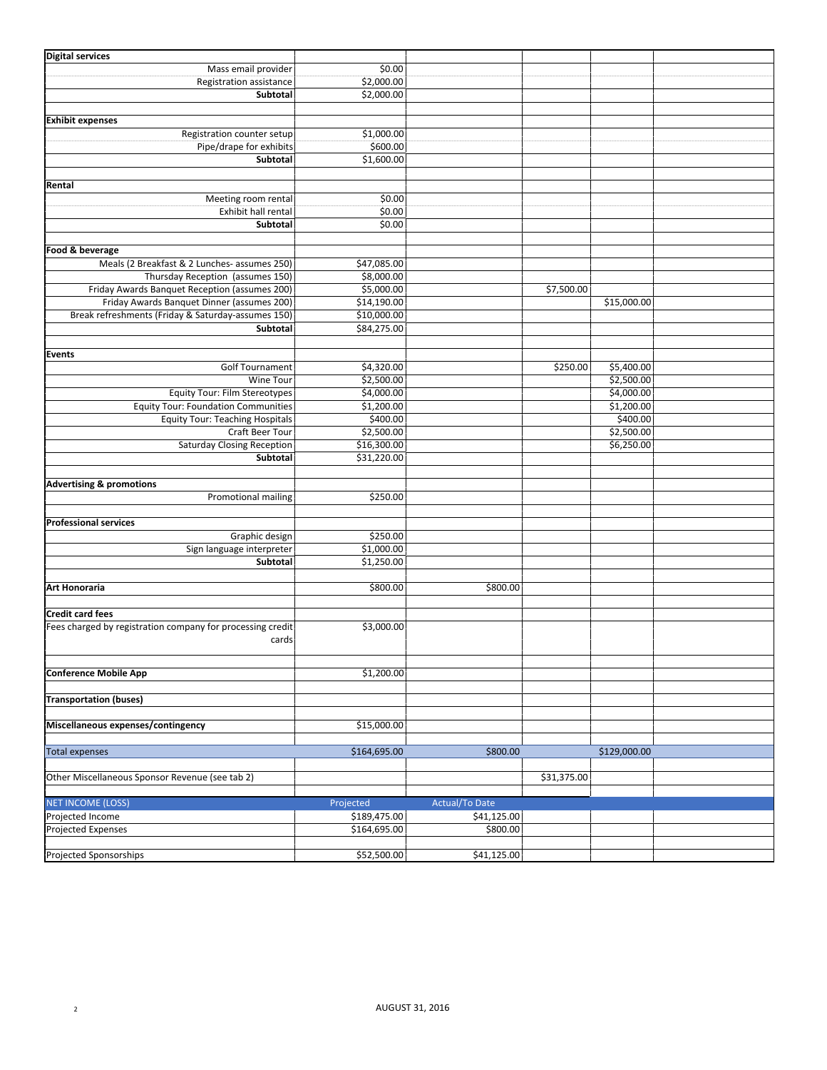| <b>Digital services</b>                                    |                        |                       |             |              |  |
|------------------------------------------------------------|------------------------|-----------------------|-------------|--------------|--|
| Mass email provider                                        | \$0.00                 |                       |             |              |  |
| Registration assistance                                    | \$2,000.00             |                       |             |              |  |
| Subtotal                                                   | \$2,000.00             |                       |             |              |  |
|                                                            |                        |                       |             |              |  |
| <b>Exhibit expenses</b>                                    |                        |                       |             |              |  |
|                                                            |                        |                       |             |              |  |
| Registration counter setup<br>Pipe/drape for exhibits      | \$1,000.00<br>\$600.00 |                       |             |              |  |
|                                                            |                        |                       |             |              |  |
| Subtotal                                                   | \$1,600.00             |                       |             |              |  |
|                                                            |                        |                       |             |              |  |
| Rental                                                     |                        |                       |             |              |  |
| Meeting room rental                                        | \$0.00                 |                       |             |              |  |
| Exhibit hall rental                                        | \$0.00                 |                       |             |              |  |
| Subtotal                                                   | \$0.00                 |                       |             |              |  |
|                                                            |                        |                       |             |              |  |
| Food & beverage                                            |                        |                       |             |              |  |
| Meals (2 Breakfast & 2 Lunches- assumes 250)               | \$47,085.00            |                       |             |              |  |
| Thursday Reception (assumes 150)                           | \$8,000.00             |                       |             |              |  |
| Friday Awards Banquet Reception (assumes 200)              | \$5,000.00             |                       | \$7,500.00  |              |  |
| Friday Awards Banquet Dinner (assumes 200)                 | \$14,190.00            |                       |             | \$15,000.00  |  |
| Break refreshments (Friday & Saturday-assumes 150)         | \$10,000.00            |                       |             |              |  |
| Subtotal                                                   | \$84,275.00            |                       |             |              |  |
|                                                            |                        |                       |             |              |  |
| Events                                                     |                        |                       |             |              |  |
| <b>Golf Tournament</b>                                     | \$4,320.00             |                       | \$250.00    | \$5,400.00   |  |
| Wine Tour                                                  | \$2,500.00             |                       |             | \$2,500.00   |  |
| <b>Equity Tour: Film Stereotypes</b>                       | \$4,000.00             |                       |             | \$4,000.00   |  |
| <b>Equity Tour: Foundation Communities</b>                 | \$1,200.00             |                       |             | \$1,200.00   |  |
|                                                            |                        |                       |             | \$400.00     |  |
| <b>Equity Tour: Teaching Hospitals</b>                     | \$400.00               |                       |             |              |  |
| Craft Beer Tour                                            | \$2,500.00             |                       |             | \$2,500.00   |  |
| <b>Saturday Closing Reception</b>                          | \$16,300.00            |                       |             | \$6,250.00   |  |
| Subtotal                                                   | \$31,220.00            |                       |             |              |  |
|                                                            |                        |                       |             |              |  |
| <b>Advertising &amp; promotions</b>                        |                        |                       |             |              |  |
| Promotional mailing                                        | \$250.00               |                       |             |              |  |
|                                                            |                        |                       |             |              |  |
| <b>Professional services</b>                               |                        |                       |             |              |  |
| Graphic design                                             | \$250.00               |                       |             |              |  |
| Sign language interpreter                                  | \$1,000.00             |                       |             |              |  |
| Subtotal                                                   | \$1,250.00             |                       |             |              |  |
|                                                            |                        |                       |             |              |  |
| Art Honoraria                                              | \$800.00               | \$800.00              |             |              |  |
|                                                            |                        |                       |             |              |  |
| <b>Credit card fees</b>                                    |                        |                       |             |              |  |
| Fees charged by registration company for processing credit | \$3,000.00             |                       |             |              |  |
| cards                                                      |                        |                       |             |              |  |
|                                                            |                        |                       |             |              |  |
|                                                            |                        |                       |             |              |  |
| <b>Conference Mobile App</b>                               | \$1,200.00             |                       |             |              |  |
|                                                            |                        |                       |             |              |  |
| <b>Transportation (buses)</b>                              |                        |                       |             |              |  |
|                                                            |                        |                       |             |              |  |
| Miscellaneous expenses/contingency                         | \$15,000.00            |                       |             |              |  |
|                                                            |                        |                       |             |              |  |
| <b>Total expenses</b>                                      | \$164,695.00           | \$800.00              |             | \$129,000.00 |  |
|                                                            |                        |                       |             |              |  |
| Other Miscellaneous Sponsor Revenue (see tab 2)            |                        |                       | \$31,375.00 |              |  |
|                                                            |                        |                       |             |              |  |
| <b>NET INCOME (LOSS)</b>                                   | Projected              | <b>Actual/To Date</b> |             |              |  |
| Projected Income                                           | \$189,475.00           | \$41,125.00           |             |              |  |
| Projected Expenses                                         | \$164,695.00           | \$800.00              |             |              |  |
|                                                            |                        |                       |             |              |  |
| Projected Sponsorships                                     | \$52,500.00            | \$41,125.00           |             |              |  |
|                                                            |                        |                       |             |              |  |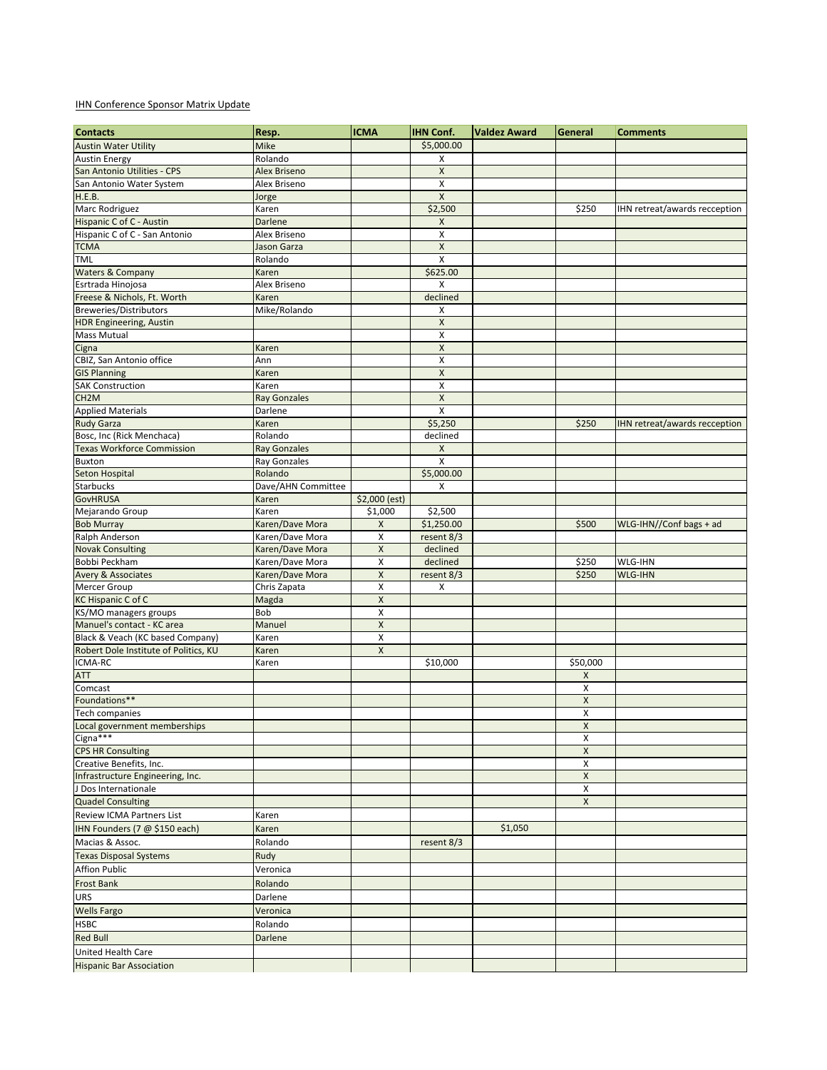#### **IHN Conference Sponsor Matrix Update**

| <b>Contacts</b>                                  | Resp.                           | <b>ICMA</b>        | <b>IHN Conf.</b>        | Valdez Award | General        | <b>Comments</b>               |
|--------------------------------------------------|---------------------------------|--------------------|-------------------------|--------------|----------------|-------------------------------|
| <b>Austin Water Utility</b>                      | Mike                            |                    | \$5,000.00              |              |                |                               |
| <b>Austin Energy</b>                             | Rolando                         |                    | X                       |              |                |                               |
| San Antonio Utilities - CPS                      | Alex Briseno                    |                    | X                       |              |                |                               |
| San Antonio Water System                         | Alex Briseno                    |                    | Χ                       |              |                |                               |
| H.E.B.                                           | Jorge                           |                    | $\pmb{\mathsf{X}}$      |              |                |                               |
| Marc Rodriguez                                   | Karen                           |                    | \$2,500                 |              | \$250          | IHN retreat/awards recception |
| Hispanic C of C - Austin                         | Darlene                         |                    | X                       |              |                |                               |
| Hispanic C of C - San Antonio                    | Alex Briseno                    |                    | x                       |              |                |                               |
| <b>TCMA</b>                                      | Jason Garza                     |                    | X                       |              |                |                               |
| <b>TML</b>                                       | Rolando                         |                    | $\overline{\mathsf{x}}$ |              |                |                               |
| Waters & Company                                 | Karen                           |                    | \$625.00                |              |                |                               |
| Esrtrada Hinojosa                                | Alex Briseno                    |                    | X                       |              |                |                               |
| Freese & Nichols, Ft. Worth                      | Karen                           |                    | declined                |              |                |                               |
| Breweries/Distributors                           | Mike/Rolando                    |                    | X                       |              |                |                               |
| <b>HDR Engineering, Austin</b>                   |                                 |                    | $\pmb{\mathsf{X}}$      |              |                |                               |
| <b>Mass Mutual</b>                               | Karen                           |                    | X<br>X                  |              |                |                               |
| Cigna<br>CBIZ, San Antonio office                | Ann                             |                    | x                       |              |                |                               |
| <b>GIS Planning</b>                              | Karen                           |                    | $\pmb{\mathsf{X}}$      |              |                |                               |
| <b>SAK Construction</b>                          | Karen                           |                    | x                       |              |                |                               |
| CH <sub>2</sub> M                                | <b>Ray Gonzales</b>             |                    | $\pmb{\times}$          |              |                |                               |
| <b>Applied Materials</b>                         | Darlene                         |                    | X                       |              |                |                               |
| <b>Rudy Garza</b>                                | Karen                           |                    | \$5,250                 |              | \$250          | IHN retreat/awards recception |
| Bosc, Inc (Rick Menchaca)                        | Rolando                         |                    | declined                |              |                |                               |
| <b>Texas Workforce Commission</b>                | <b>Ray Gonzales</b>             |                    | X                       |              |                |                               |
| Buxton                                           | Ray Gonzales                    |                    | X                       |              |                |                               |
| Seton Hospital                                   | Rolando                         |                    | \$5,000.00              |              |                |                               |
| <b>Starbucks</b>                                 | Dave/AHN Committee              |                    | X                       |              |                |                               |
| <b>GovHRUSA</b>                                  | Karen                           | $$2,000$ (est)     |                         |              |                |                               |
| Mejarando Group                                  | Karen                           | \$1,000            | \$2,500                 |              |                |                               |
| <b>Bob Murray</b>                                | Karen/Dave Mora                 | X                  | \$1,250.00              |              | \$500          | WLG-IHN//Conf bags + ad       |
| Ralph Anderson                                   | Karen/Dave Mora                 | x                  | resent 8/3              |              |                |                               |
| <b>Novak Consulting</b>                          | Karen/Dave Mora                 | X                  | declined                |              |                |                               |
| Bobbi Peckham                                    | Karen/Dave Mora                 | X<br>X             | declined                |              | \$250<br>\$250 | WLG-IHN                       |
| <b>Avery &amp; Associates</b><br>Mercer Group    | Karen/Dave Mora<br>Chris Zapata | X                  | resent 8/3<br>x         |              |                | <b>WLG-IHN</b>                |
| <b>KC Hispanic C of C</b>                        | Magda                           | X                  |                         |              |                |                               |
| KS/MO managers groups                            | Bob                             | X                  |                         |              |                |                               |
| Manuel's contact - KC area                       | Manuel                          | $\pmb{\mathsf{X}}$ |                         |              |                |                               |
| Black & Veach (KC based Company)                 | Karen                           | X                  |                         |              |                |                               |
| Robert Dole Institute of Politics, KU            | Karen                           | X                  |                         |              |                |                               |
| ICMA-RC                                          | Karen                           |                    | \$10,000                |              | \$50,000       |                               |
| <b>ATT</b>                                       |                                 |                    |                         |              | Χ              |                               |
| Comcast                                          |                                 |                    |                         |              | X              |                               |
| Foundations**                                    |                                 |                    |                         |              | X              |                               |
| <b>Tech companies</b>                            |                                 |                    |                         |              | X              |                               |
| Local government memberships                     |                                 |                    |                         |              | X              |                               |
| Cigna***                                         |                                 |                    |                         |              | X              |                               |
| CPS HR Consulting                                |                                 |                    |                         |              | X              |                               |
| Creative Benefits, Inc.                          |                                 |                    |                         |              | X              |                               |
| Infrastructure Engineering, Inc.                 |                                 |                    |                         |              | $\mathsf X$    |                               |
| J Dos Internationale<br>Quadel Consulting        |                                 |                    |                         |              | x<br>X         |                               |
| Review ICMA Partners List                        |                                 |                    |                         |              |                |                               |
|                                                  | Karen                           |                    |                         |              |                |                               |
| IHN Founders (7 @ \$150 each)<br>Macias & Assoc. | Karen                           |                    |                         | \$1,050      |                |                               |
|                                                  | Rolando                         |                    | resent 8/3              |              |                |                               |
| <b>Texas Disposal Systems</b>                    | Rudy                            |                    |                         |              |                |                               |
| <b>Affion Public</b>                             | Veronica                        |                    |                         |              |                |                               |
| Frost Bank                                       | Rolando                         |                    |                         |              |                |                               |
| <b>URS</b>                                       | Darlene                         |                    |                         |              |                |                               |
| <b>Wells Fargo</b>                               | Veronica                        |                    |                         |              |                |                               |
| <b>HSBC</b>                                      | Rolando                         |                    |                         |              |                |                               |
| <b>Red Bull</b>                                  | Darlene                         |                    |                         |              |                |                               |
| United Health Care                               |                                 |                    |                         |              |                |                               |
| <b>Hispanic Bar Association</b>                  |                                 |                    |                         |              |                |                               |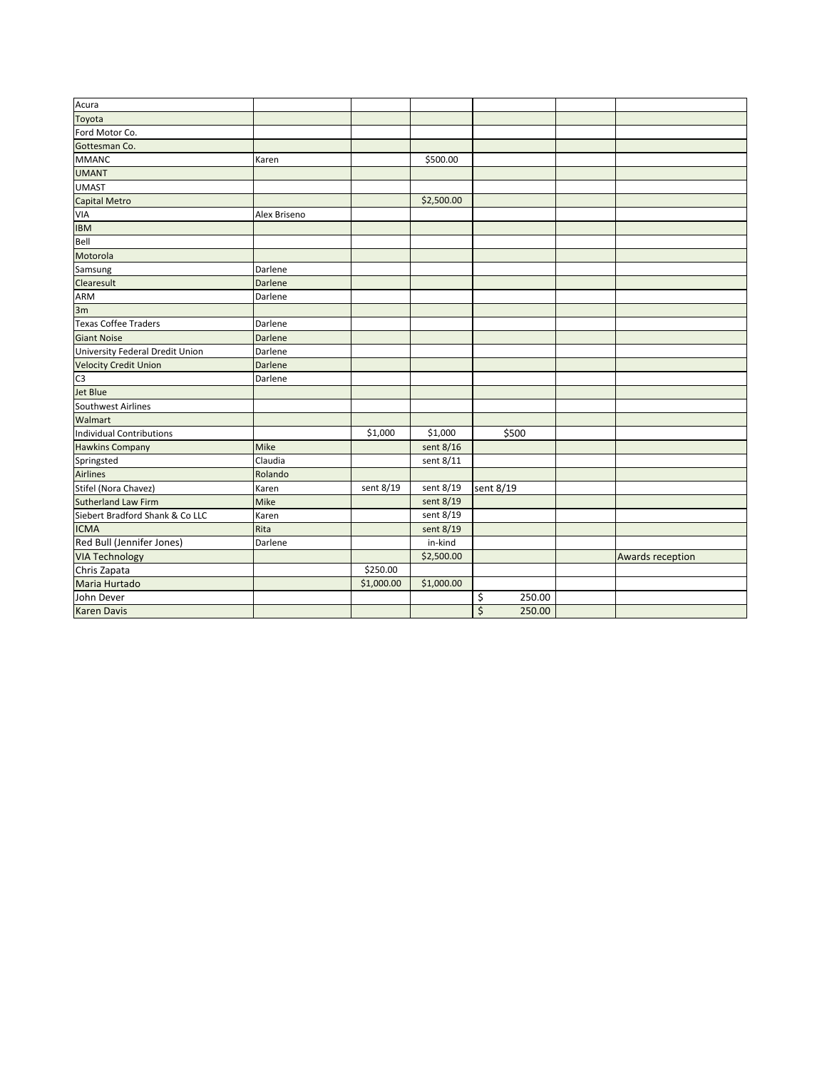| Acura                           |              |            |            |              |                  |
|---------------------------------|--------------|------------|------------|--------------|------------------|
| Toyota                          |              |            |            |              |                  |
| Ford Motor Co.                  |              |            |            |              |                  |
| Gottesman Co.                   |              |            |            |              |                  |
| MMANC                           | Karen        |            | \$500.00   |              |                  |
| <b>UMANT</b>                    |              |            |            |              |                  |
| UMAST                           |              |            |            |              |                  |
| Capital Metro                   |              |            | \$2,500.00 |              |                  |
| VIA                             | Alex Briseno |            |            |              |                  |
| <b>IBM</b>                      |              |            |            |              |                  |
| Bell                            |              |            |            |              |                  |
| Motorola                        |              |            |            |              |                  |
| Samsung                         | Darlene      |            |            |              |                  |
| Clearesult                      | Darlene      |            |            |              |                  |
| ARM                             | Darlene      |            |            |              |                  |
| 3m                              |              |            |            |              |                  |
| Texas Coffee Traders            | Darlene      |            |            |              |                  |
| <b>Giant Noise</b>              | Darlene      |            |            |              |                  |
| University Federal Dredit Union | Darlene      |            |            |              |                  |
| <b>Velocity Credit Union</b>    | Darlene      |            |            |              |                  |
| lсз                             | Darlene      |            |            |              |                  |
| Jet Blue                        |              |            |            |              |                  |
| Southwest Airlines              |              |            |            |              |                  |
| Walmart                         |              |            |            |              |                  |
| Individual Contributions        |              | \$1,000    | \$1,000    | \$500        |                  |
| Hawkins Company                 | Mike         |            | sent 8/16  |              |                  |
| Springsted                      | Claudia      |            | sent 8/11  |              |                  |
| Airlines                        | Rolando      |            |            |              |                  |
| Stifel (Nora Chavez)            | Karen        | sent 8/19  | sent 8/19  | sent 8/19    |                  |
| Sutherland Law Firm             | Mike         |            | sent 8/19  |              |                  |
| Siebert Bradford Shank & Co LLC | Karen        |            | sent 8/19  |              |                  |
| <b>ICMA</b>                     | Rita         |            | sent 8/19  |              |                  |
| Red Bull (Jennifer Jones)       | Darlene      |            | in-kind    |              |                  |
| <b>VIA Technology</b>           |              |            | \$2,500.00 |              | Awards reception |
| Chris Zapata                    |              | \$250.00   |            |              |                  |
| Maria Hurtado                   |              | \$1,000.00 | \$1,000.00 |              |                  |
| John Dever                      |              |            |            | \$<br>250.00 |                  |
| Karen Davis                     |              |            |            | \$<br>250.00 |                  |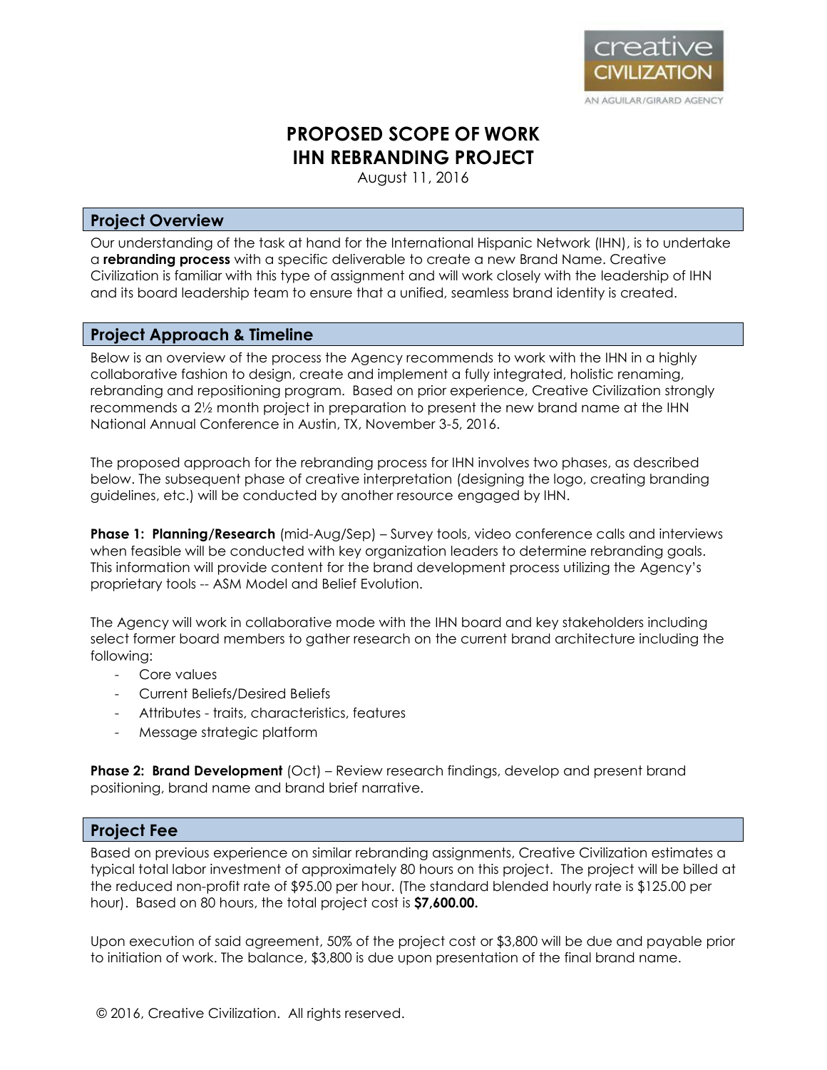

# **PROPOSED SCOPE OF WORK IHN REBRANDING PROJECT**

August 11, 2016

# **Project Overview**

Our understanding of the task at hand for the International Hispanic Network (IHN), is to undertake a **rebranding process** with a specific deliverable to create a new Brand Name. Creative Civilization is familiar with this type of assignment and will work closely with the leadership of IHN and its board leadership team to ensure that a unified, seamless brand identity is created.

# **Project Approach & Timeline**

Below is an overview of the process the Agency recommends to work with the IHN in a highly collaborative fashion to design, create and implement a fully integrated, holistic renaming, rebranding and repositioning program. Based on prior experience, Creative Civilization strongly recommends a 2½ month project in preparation to present the new brand name at the IHN National Annual Conference in Austin, TX, November 3-5, 2016.

The proposed approach for the rebranding process for IHN involves two phases, as described below. The subsequent phase of creative interpretation (designing the logo, creating branding guidelines, etc.) will be conducted by another resource engaged by IHN.

**Phase 1: Planning/Research** (mid-Aug/Sep) – Survey tools, video conference calls and interviews when feasible will be conducted with key organization leaders to determine rebranding goals. This information will provide content for the brand development process utilizing the Agency's proprietary tools -- ASM Model and Belief Evolution.

The Agency will work in collaborative mode with the IHN board and key stakeholders including select former board members to gather research on the current brand architecture including the following:

- Core values
- Current Beliefs/Desired Beliefs
- Attributes traits, characteristics, features
- Message strategic platform

**Phase 2: Brand Development** (Oct) – Review research findings, develop and present brand positioning, brand name and brand brief narrative.

# **Project Fee**

Based on previous experience on similar rebranding assignments, Creative Civilization estimates a typical total labor investment of approximately 80 hours on this project. The project will be billed at the reduced non-profit rate of \$95.00 per hour. (The standard blended hourly rate is \$125.00 per hour). Based on 80 hours, the total project cost is **\$7,600.00.** 

Upon execution of said agreement, 50% of the project cost or \$3,800 will be due and payable prior to initiation of work. The balance, \$3,800 is due upon presentation of the final brand name.